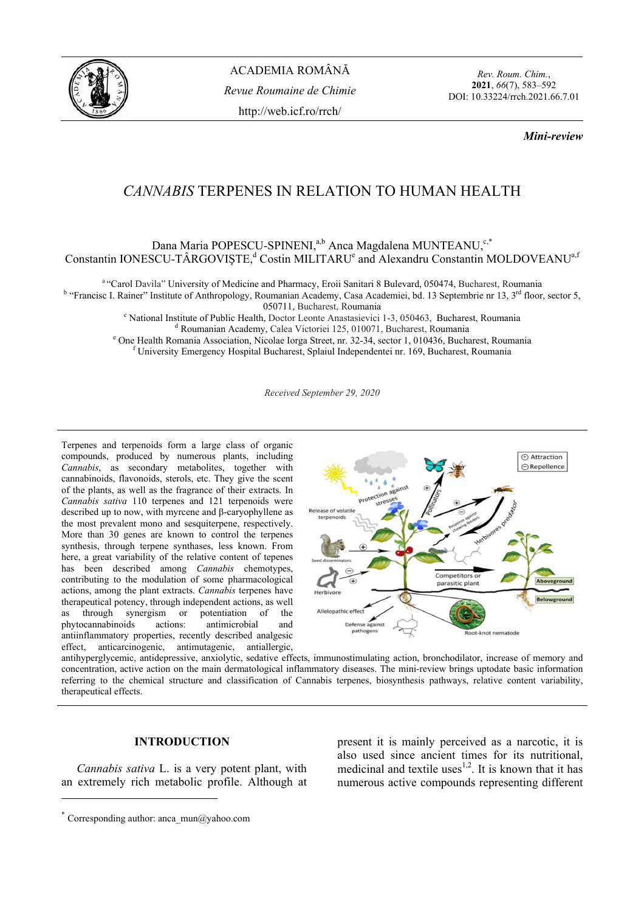

ACADEMIA ROMÂNĂ *Revue Roumaine de Chimie*  http://web.icf.ro/rrch/

*Rev. Roum. Chim.*, **2021**, *66*(7), 583–592 DOI: 10.33224/rrch.2021.66.7.01

*Mini-review* 

# *CANNABIS* TERPENES IN RELATION TO HUMAN HEALTH

## Dana Maria POPESCU-SPINENI,<sup>a,b</sup> Anca Magdalena MUNTEANU,<sup>c,\*</sup> Constantin IONESCU-TÂRGOVIȘTE,<sup>d</sup> Costin MILITARU<sup>e</sup> and Alexandru Constantin MOLDOVEANU<sup>a,f</sup>

a "Carol Davila" University of Medicine and Pharmacy, Eroii Sanitari 8 Bulevard, 050474, Bucharest, Roumania

<sup>b</sup> "Francisc I. Rainer" Institute of Anthropology, Roumanian Academy, Casa Academiei, bd. 13 Septembrie nr 13, 3<sup>rd</sup> floor, sector 5, 050711, Bucharest, Roumania<br><sup>C</sup> Netional Institute of Public Health, Dector Leapte Angetasiaviai

 National Institute of Public Health, Doctor Leonte Anastasievici 1-3, 050463, Bucharest, Roumania d <sup>d</sup> Roumanian Academy, Calea Victoriei 125, 010071, Bucharest, Roumania One Health Romania Association, Nicolae Iorga Street, nr. 32-34, sector 1, 010436, Bucharest, Roumania f

University Emergency Hospital Bucharest, Splaiul Independentei nr. 169, Bucharest, Roumania

*Received September 29, 2020* 

Terpenes and terpenoids form a large class of organic compounds, produced by numerous plants, including *Cannabis*, as secondary metabolites, together with cannabinoids, flavonoids, sterols, etc. They give the scent of the plants, as well as the fragrance of their extracts. In *Cannabis sativa* 110 terpenes and 121 terpenoids were described up to now, with myrcene and β-caryophyllene as the most prevalent mono and sesquiterpene, respectively. More than 30 genes are known to control the terpenes synthesis, through terpene synthases, less known. From here, a great variability of the relative content of tepenes has been described among *Cannabis* chemotypes, contributing to the modulation of some pharmacological actions, among the plant extracts. *Cannabis* terpenes have therapeutical potency, through independent actions, as well as through synergism or potentiation of the phytocannabinoids actions: antimicrobial and antiinflammatory properties, recently described analgesic effect, anticarcinogenic, antimutagenic, antiallergic,



antihyperglycemic, antidepressive, anxiolytic, sedative effects, immunostimulating action, bronchodilator, increase of memory and concentration, active action on the main dermatological inflammatory diseases. The mini-review brings uptodate basic information referring to the chemical structure and classification of Cannabis terpenes, biosynthesis pathways, relative content variability, therapeutical effects.

#### **INTRODUCTION\***

 *Cannabis sativa* L. is a very potent plant, with an extremely rich metabolic profile. Although at

\* Corresponding author: anca\_mun@yahoo.com

 $\overline{a}$ 

present it is mainly perceived as a narcotic, it is also used since ancient times for its nutritional, medicinal and textile uses<sup>1,2</sup>. It is known that it has numerous active compounds representing different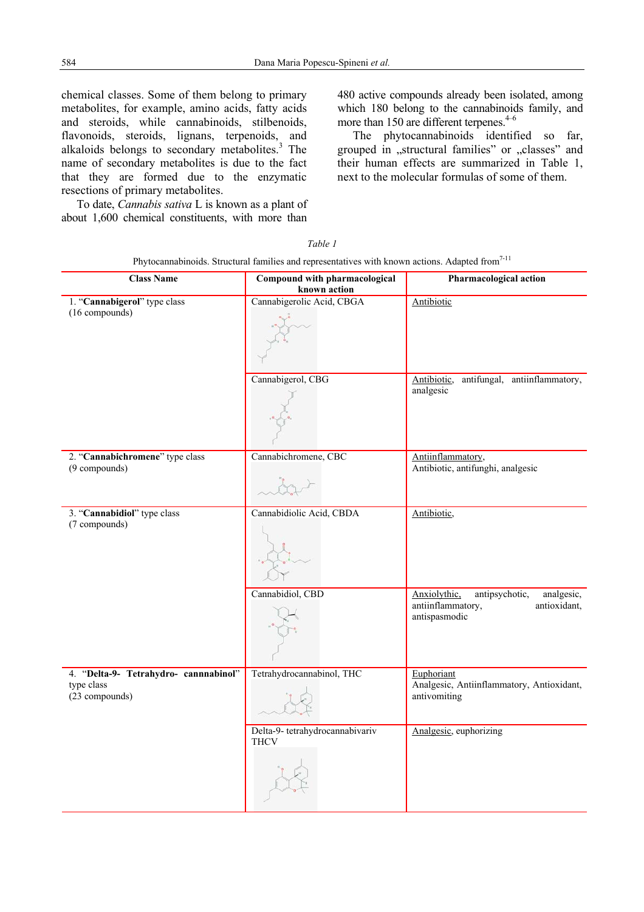chemical classes. Some of them belong to primary metabolites, for example, amino acids, fatty acids and steroids, while cannabinoids, stilbenoids, flavonoids, steroids, lignans, terpenoids, and alkaloids belongs to secondary metabolites.<sup>3</sup> The name of secondary metabolites is due to the fact that they are formed due to the enzymatic resections of primary metabolites.

 To date, *Cannabis sativa* L is known as a plant of about 1,600 chemical constituents, with more than

480 active compounds already been isolated, among which 180 belong to the cannabinoids family, and more than 150 are different terpenes. $4-6$ 

 The phytocannabinoids identified so far, grouped in "structural families" or "classes" and their human effects are summarized in Table 1, next to the molecular formulas of some of them.

| <b>Class Name</b>                                                     | <b>Compound with pharmacological</b>           | Pharmacological action                                                                             |
|-----------------------------------------------------------------------|------------------------------------------------|----------------------------------------------------------------------------------------------------|
|                                                                       | known action                                   |                                                                                                    |
| 1. "Cannabigerol" type class<br>(16 compounds)                        | Cannabigerolic Acid, CBGA                      | Antibiotic                                                                                         |
|                                                                       | Cannabigerol, CBG                              | antifungal, antiinflammatory,<br>Antibiotic,<br>analgesic                                          |
| 2. "Cannabichromene" type class<br>(9 compounds)                      | Cannabichromene, CBC                           | Antiinflammatory,<br>Antibiotic, antifunghi, analgesic                                             |
| 3. "Cannabidiol" type class<br>(7 compounds)                          | Cannabidiolic Acid, CBDA                       | Antibiotic,                                                                                        |
|                                                                       | Cannabidiol, CBD                               | Anxiolythic,<br>antipsychotic,<br>analgesic,<br>antiinflammatory,<br>antioxidant,<br>antispasmodic |
| 4. "Delta-9- Tetrahydro- cannnabinol"<br>type class<br>(23 compounds) | Tetrahydrocannabinol, THC                      | Euphoriant<br>Analgesic, Antiinflammatory, Antioxidant,<br>antivomiting                            |
|                                                                       | Delta-9- tetrahydrocannabivariv<br><b>THCV</b> | Analgesic, euphorizing                                                                             |

*Table 1* Phytocannabinoids. Structural families and representatives with known actions. Adapted from<sup>7-11</sup>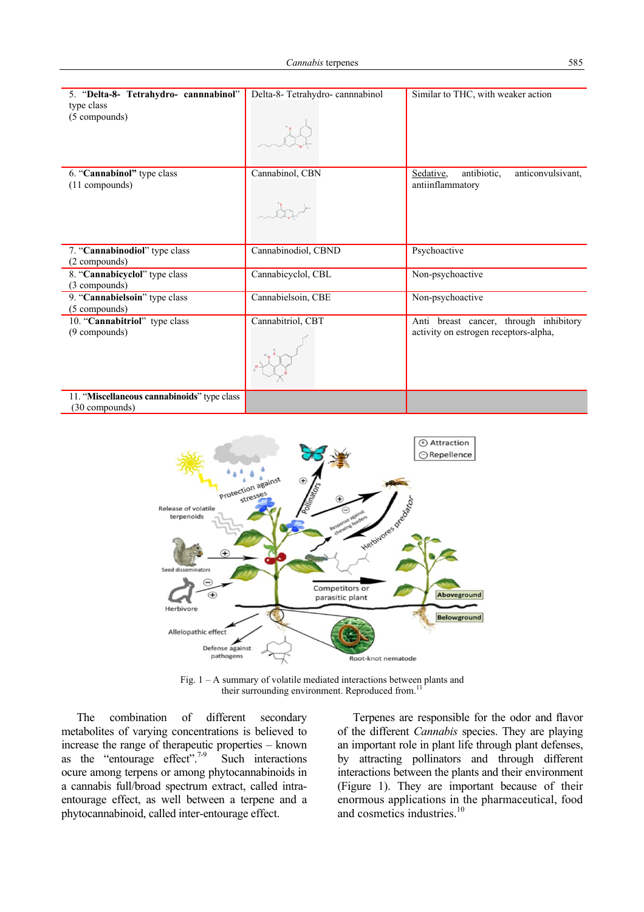| 5. "Delta-8- Tetrahydro- cannnabinol"<br>type class<br>(5 compounds) | Delta-8- Tetrahydro- cannuabinol | Similar to THC, with weaker action                                              |
|----------------------------------------------------------------------|----------------------------------|---------------------------------------------------------------------------------|
| 6. "Cannabinol" type class<br>(11 compounds)                         | Cannabinol, CBN                  | Sedative,<br>antibiotic.<br>anticonvulsivant.<br>antiinflammatory               |
| 7. "Cannabinodiol" type class<br>(2 compounds)                       | Cannabinodiol, CBND              | Psychoactive                                                                    |
| 8. "Cannabicyclol" type class<br>$(3$ compounds)                     | Cannabicyclol, CBL               | Non-psychoactive                                                                |
| 9. "Cannabielsoin" type class<br>(5 compounds)                       | Cannabielsoin, CBE               | Non-psychoactive                                                                |
| 10. "Cannabitriol" type class<br>(9 compounds)                       | Cannabitriol, CBT                | Anti breast cancer, through inhibitory<br>activity on estrogen receptors-alpha, |
| 11. "Miscellaneous cannabinoids" type class<br>(30 compounds)        |                                  |                                                                                 |



Fig. 1 – A summary of volatile mediated interactions between plants and their surrounding environment. Reproduced from.<sup>11</sup>

The combination of different secondary metabolites of varying concentrations is believed to increase the range of therapeutic properties – known as the "entourage effect".<sup>7,9</sup> Such interactions ocure among terpens or among phytocannabinoids in a cannabis full/broad spectrum extract, called intraentourage effect, as well between a terpene and a phytocannabinoid, called inter-entourage effect.

Terpenes are responsible for the odor and flavor of the different *Cannabis* species. They are playing an important role in plant life through plant defenses, by attracting pollinators and through different interactions between the plants and their environment (Figure 1). They are important because of their enormous applications in the pharmaceutical, food and cosmetics industries.<sup>10</sup>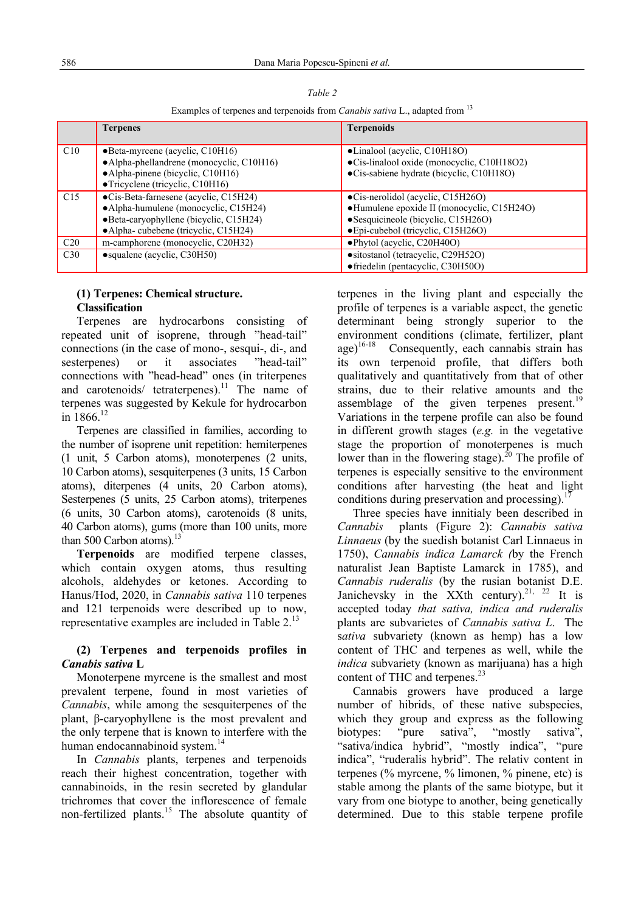| Enamples of terpence and terpencial from canabis saura E., adapted from |                                           |                                             |  |  |  |
|-------------------------------------------------------------------------|-------------------------------------------|---------------------------------------------|--|--|--|
|                                                                         | <b>Terpenes</b>                           | <b>Terpenoids</b>                           |  |  |  |
|                                                                         |                                           |                                             |  |  |  |
| C10                                                                     | $\bullet$ Beta-myrcene (acyclic, C10H16)  | •Linalool (acyclic, C10H18O)                |  |  |  |
|                                                                         | • Alpha-phellandrene (monocyclic, C10H16) | ·Cis-linalool oxide (monocyclic, C10H18O2)  |  |  |  |
|                                                                         | • Alpha-pinene (bicyclic, C10H16)         | •Cis-sabiene hydrate (bicyclic, C10H18O)    |  |  |  |
|                                                                         | $\bullet$ Tricyclene (tricyclic, C10H16)  |                                             |  |  |  |
| C15                                                                     | •Cis-Beta-farnesene (acyclic, C15H24)     | •Cis-nerolidol (acyclic, C15H26O)           |  |  |  |
|                                                                         | • Alpha-humulene (monocyclic, C15H24)     | • Humulene epoxide II (monocyclic, C15H24O) |  |  |  |
|                                                                         | • Beta-caryophyllene (bicyclic, C15H24)   | • Sesquicine ole (bicyclic, C15H26O)        |  |  |  |
|                                                                         | • Alpha-cubebene (tricyclic, C15H24)      | • Epi-cubebol (tricyclic, C15H26O)          |  |  |  |
| C <sub>20</sub>                                                         | m-camphorene (monocyclic, C20H32)         | • Phytol (acyclic, C20H40O)                 |  |  |  |
| C <sub>30</sub>                                                         | $\bullet$ squalene (acyclic, C30H50)      | ·sitostanol (tetracyclic, C29H52O)          |  |  |  |
|                                                                         |                                           | $\bullet$ friedelin (pentacyclic, C30H50O)  |  |  |  |

### *Table 2* Examples of terpenes and terpenoids from *Canabis sativa* L<sub>11</sub>, adapted from <sup>13</sup>

## **(1) Terpenes: Chemical structure. Classification**

 Terpenes are hydrocarbons consisting of repeated unit of isoprene, through "head-tail" connections (in the case of mono-, sesqui-, di-, and sesterpenes) or it associates "head-tail" connections with "head-head" ones (in triterpenes and carotenoids/ tetraterpenes).<sup>11</sup> The name of terpenes was suggested by Kekule for hydrocarbon in  $1866^{12}$ 

 Terpenes are classified in families, according to the number of isoprene unit repetition: hemiterpenes (1 unit, 5 Carbon atoms), monoterpenes (2 units, 10 Carbon atoms), sesquiterpenes (3 units, 15 Carbon atoms), diterpenes (4 units, 20 Carbon atoms), Sesterpenes (5 units, 25 Carbon atoms), triterpenes (6 units, 30 Carbon atoms), carotenoids (8 units, 40 Carbon atoms), gums (more than 100 units, more than 500 Carbon atoms).<sup>13</sup>

 **Terpenoids** are modified terpene classes, which contain oxygen atoms, thus resulting alcohols, aldehydes or ketones. According to Hanus/Hod, 2020, in *Cannabis sativa* 110 terpenes and 121 terpenoids were described up to now, representative examples are included in Table 2.13

### **(2) Terpenes and terpenoids profiles in**  *Canabis sativa* **L**

 Monoterpene myrcene is the smallest and most prevalent terpene, found in most varieties of *Cannabis*, while among the sesquiterpenes of the plant, β-caryophyllene is the most prevalent and the only terpene that is known to interfere with the human endocannabinoid system.<sup>14</sup>

 In *Cannabis* plants, terpenes and terpenoids reach their highest concentration, together with cannabinoids, in the resin secreted by glandular trichromes that cover the inflorescence of female non-fertilized plants.15 The absolute quantity of terpenes in the living plant and especially the profile of terpenes is a variable aspect, the genetic determinant being strongly superior to the environment conditions (climate, fertilizer, plant age)<sup>16-18</sup> Consequently, each cannabis strain has Consequently, each cannabis strain has its own terpenoid profile, that differs both qualitatively and quantitatively from that of other strains, due to their relative amounts and the assemblage of the given terpenes present.<sup>19</sup> Variations in the terpene profile can also be found in different growth stages (*e.g.* in the vegetative stage the proportion of monoterpenes is much lower than in the flowering stage).<sup>20</sup> The profile of terpenes is especially sensitive to the environment conditions after harvesting (the heat and light conditions during preservation and processing).<sup>1</sup>

 Three species have innitialy been described in *Cannabis* plants (Figure 2): *Cannabis sativa Linnaeus* (by the suedish botanist Carl Linnaeus in 1750), *Cannabis indica Lamarck (*by the French naturalist Jean Baptiste Lamarck in 1785), and *Cannabis ruderalis* (by the rusian botanist D.E. Janichevsky in the XXth century).<sup>21, 22</sup> It is accepted today *that sativa, indica and ruderalis* plants are subvarietes of *Cannabis sativa L*. The s*ativa* subvariety (known as hemp) has a low content of THC and terpenes as well, while the *indica* subvariety (known as marijuana) has a high content of THC and terpenes.<sup>23</sup>

Cannabis growers have produced a large number of hibrids, of these native subspecies, which they group and express as the following biotypes: "pure sativa", "mostly sativa", "sativa/indica hybrid", "mostly indica", "pure indica", "ruderalis hybrid". The relativ content in terpenes (% myrcene, % limonen, % pinene, etc) is stable among the plants of the same biotype, but it vary from one biotype to another, being genetically determined. Due to this stable terpene profile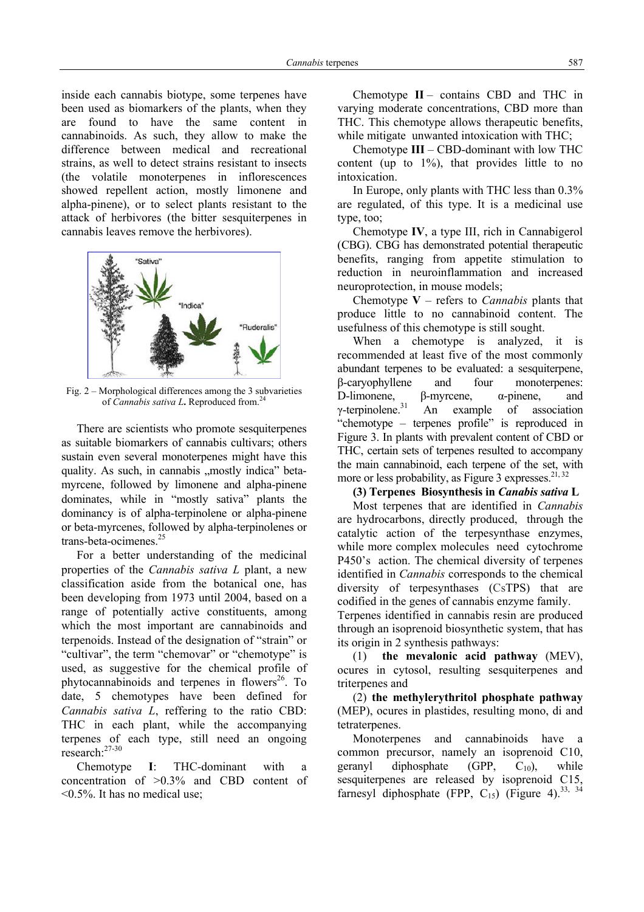inside each cannabis biotype, some terpenes have been used as biomarkers of the plants, when they are found to have the same content in cannabinoids. As such, they allow to make the difference between medical and recreational strains, as well to detect strains resistant to insects (the volatile monoterpenes in inflorescences showed repellent action, mostly limonene and alpha-pinene), or to select plants resistant to the attack of herbivores (the bitter sesquiterpenes in cannabis leaves remove the herbivores).



Fig. 2 – Morphological differences among the 3 subvarieties of *Cannabis sativa L***.** Reproduced from.24

There are scientists who promote sesquiterpenes as suitable biomarkers of cannabis cultivars; others sustain even several monoterpenes might have this quality. As such, in cannabis ..mostly indica" betamyrcene, followed by limonene and alpha-pinene dominates, while in "mostly sativa" plants the dominancy is of alpha-terpinolene or alpha-pinene or beta-myrcenes, followed by alpha-terpinolenes or trans-beta-ocimenes.<sup>25</sup>

 For a better understanding of the medicinal properties of the *Cannabis sativa L* plant, a new classification aside from the botanical one, has been developing from 1973 until 2004, based on a range of potentially active constituents, among which the most important are cannabinoids and terpenoids. Instead of the designation of "strain" or "cultivar", the term "chemovar" or "chemotype" is used, as suggestive for the chemical profile of phytocannabinoids and terpenes in flowers<sup>26</sup>. To date, 5 chemotypes have been defined for *Cannabis sativa L*, reffering to the ratio CBD: THC in each plant, while the accompanying terpenes of each type, still need an ongoing research: $27-30$ 

Chemotype **I**: THC-dominant with a concentration of  $>0.3\%$  and CBD content of <0.5%. It has no medical use;

Chemotype **II** – contains CBD and THC in varying moderate concentrations, CBD more than THC. This chemotype allows therapeutic benefits, while mitigate unwanted intoxication with THC;

Chemotype **III** – CBD-dominant with low THC content (up to 1%), that provides little to no intoxication.

In Europe, only plants with THC less than 0.3% are regulated, of this type. It is a medicinal use type, too;

Chemotype **IV**, a type III, rich in Cannabigerol (CBG). CBG has demonstrated potential therapeutic benefits, ranging from appetite stimulation to reduction in neuroinflammation and increased neuroprotection, in mouse models;

Chemotype **V** – refers to *Cannabis* plants that produce little to no cannabinoid content. The usefulness of this chemotype is still sought.

When a chemotype is analyzed, it is recommended at least five of the most commonly abundant terpenes to be evaluated: a sesquiterpene, β-caryophyllene and four monoterpenes: D-limonene, β-myrcene, α-pinene, and  $\gamma$ -terpinolene.<sup>31</sup> An example of association "chemotype – terpenes profile" is reproduced in Figure 3. In plants with prevalent content of CBD or THC, certain sets of terpenes resulted to accompany the main cannabinoid, each terpene of the set, with more or less probability, as Figure 3 expresses. $2^{1,32}$ 

## **(3) Terpenes Biosynthesis in** *Canabis sativa* **L**

 Most terpenes that are identified in *Cannabis* are hydrocarbons, directly produced, through the catalytic action of the terpesynthase enzymes, while more complex molecules need cytochrome P450's action. The chemical diversity of terpenes identified in *Cannabis* corresponds to the chemical diversity of terpesynthases (CsTPS) that are codified in the genes of cannabis enzyme family.

Terpenes identified in cannabis resin are produced through an isoprenoid biosynthetic system, that has its origin in 2 synthesis pathways:

(1) **the mevalonic acid pathway** (MEV), ocures in cytosol, resulting sesquiterpenes and triterpenes and

(2) **the methylerythritol phosphate pathway** (MEP), ocures in plastides, resulting mono, di and tetraterpenes.

 Monoterpenes and cannabinoids have a common precursor, namely an isoprenoid C10, geranyl diphosphate  $(GPP, C_{10})$ , while sesquiterpenes are released by isoprenoid C15, farnesyl diphosphate (FPP,  $C_{15}$ ) (Figure 4).<sup>33, 34</sup>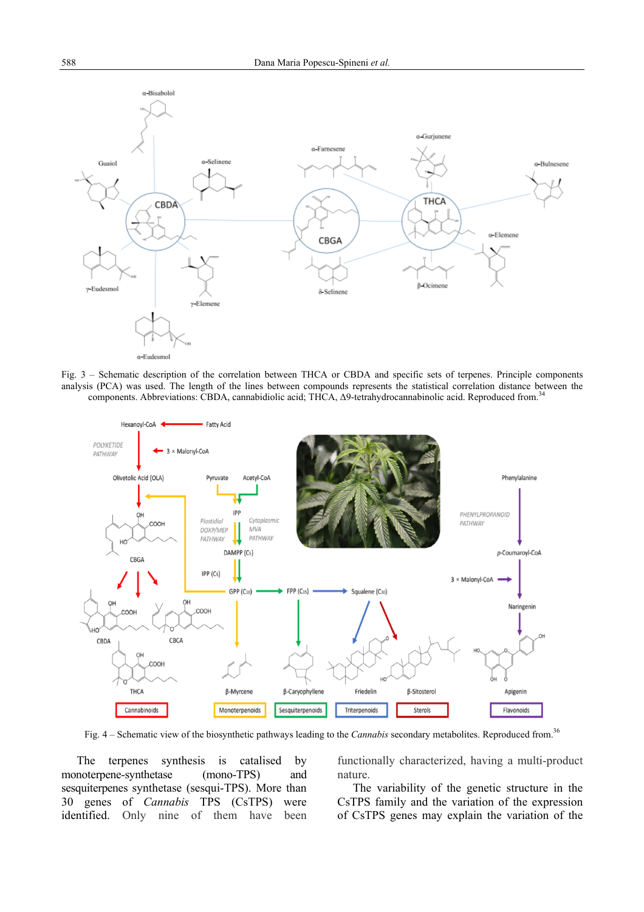

Fig. 3 – Schematic description of the correlation between THCA or CBDA and specific sets of terpenes. Principle components analysis (PCA) was used. The length of the lines between compounds represents the statistical correlation distance between the components. Abbreviations: CBDA, cannabidiolic acid; THCA, Δ9-tetrahydrocannabinolic acid. Reproduced from.34



Fig. 4 – Schematic view of the biosynthetic pathways leading to the *Cannabis* secondary metabolites. Reproduced from.36

The terpenes synthesis is catalised by monoterpene-synthetase (mono-TPS) and sesquiterpenes synthetase (sesqui-TPS). More than 30 genes of *Cannabis* TPS (CsTPS) were identified. Only nine of them have been functionally characterized, having a multi-product nature.

 The variability of the genetic structure in the CsTPS family and the variation of the expression of CsTPS genes may explain the variation of the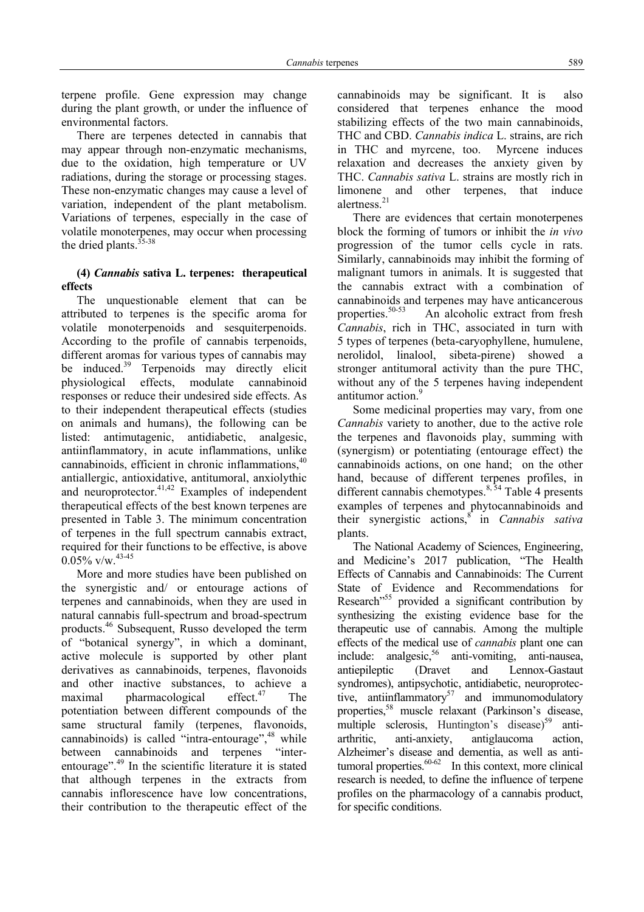terpene profile. Gene expression may change during the plant growth, or under the influence of environmental factors.

 There are terpenes detected in cannabis that may appear through non-enzymatic mechanisms, due to the oxidation, high temperature or UV radiations, during the storage or processing stages. These non-enzymatic changes may cause a level of variation, independent of the plant metabolism. Variations of terpenes, especially in the case of volatile monoterpenes, may occur when processing the dried plants. $35-38$ 

## **(4)** *Cannabis* **sativa L. terpenes: therapeutical effects**

 The unquestionable element that can be attributed to terpenes is the specific aroma for volatile monoterpenoids and sesquiterpenoids. According to the profile of cannabis terpenoids, different aromas for various types of cannabis may be induced.<sup>39</sup> Terpenoids may directly elicit physiological effects, modulate cannabinoid responses or reduce their undesired side effects. As to their independent therapeutical effects (studies on animals and humans), the following can be listed: antimutagenic, antidiabetic, analgesic, antiinflammatory, in acute inflammations, unlike cannabinoids, efficient in chronic inflammations, $40$ antiallergic, antioxidative, antitumoral, anxiolythic and neuroprotector. $41,42$  Examples of independent therapeutical effects of the best known terpenes are presented in Table 3. The minimum concentration of terpenes in the full spectrum cannabis extract, required for their functions to be effective, is above  $0.05\%$  v/w<sup>43-45</sup>

More and more studies have been published on the synergistic and/ or entourage actions of terpenes and cannabinoids, when they are used in natural cannabis full-spectrum and broad-spectrum products.46 Subsequent, Russo developed the term of "botanical synergy", in which a dominant, active molecule is supported by other plant derivatives as cannabinoids, terpenes, flavonoids and other inactive substances, to achieve a maximal pharmacological effect.<sup>47</sup> The potentiation between different compounds of the same structural family (terpenes, flavonoids, cannabinoids) is called "intra-entourage",<sup>48</sup> while between cannabinoids and terpenes "interentourage".<sup>49</sup> In the scientific literature it is stated that although terpenes in the extracts from cannabis inflorescence have low concentrations, their contribution to the therapeutic effect of the

cannabinoids may be significant. It is also considered that terpenes enhance the mood stabilizing effects of the two main cannabinoids, THC and CBD. *Cannabis indica* L. strains, are rich in THC and myrcene, too. Myrcene induces relaxation and decreases the anxiety given by THC. *Cannabis sativa* L. strains are mostly rich in limonene and other terpenes, that induce alertness.21

 There are evidences that certain monoterpenes block the forming of tumors or inhibit the *in vivo* progression of the tumor cells cycle in rats. Similarly, cannabinoids may inhibit the forming of malignant tumors in animals. It is suggested that the cannabis extract with a combination of cannabinoids and terpenes may have anticancerous properties. $50-53$  An alcoholic extract from fresh *Cannabis*, rich in THC, associated in turn with 5 types of terpenes (beta-caryophyllene, humulene, nerolidol, linalool, sibeta-pirene) showed a stronger antitumoral activity than the pure THC, without any of the 5 terpenes having independent antitumor action.<sup>9</sup>

Some medicinal properties may vary, from one *Cannabis* variety to another, due to the active role the terpenes and flavonoids play, summing with (synergism) or potentiating (entourage effect) the cannabinoids actions, on one hand; on the other hand, because of different terpenes profiles, in different cannabis chemotypes.<sup>8, 54</sup> Table 4 presents examples of terpenes and phytocannabinoids and their synergistic actions,8 in *Cannabis sativa* plants.

The National Academy of Sciences, Engineering, and Medicine's 2017 publication, "The Health Effects of Cannabis and Cannabinoids: The Current State of Evidence and Recommendations for Research<sup>155</sup> provided a significant contribution by synthesizing the existing evidence base for the therapeutic use of cannabis. Among the multiple effects of the medical use of *cannabis* plant one can include: analgesic,<sup>56</sup> anti-vomiting, anti-nausea, antiepileptic (Dravet and Lennox-Gastaut syndromes), antipsychotic, antidiabetic, neuroprotective, antiinflammatory<sup>57</sup> and immunomodulatory properties,<sup>58</sup> muscle relaxant (Parkinson's disease, multiple sclerosis, Huntington's disease)<sup>59</sup> antiarthritic, anti-anxiety, antiglaucoma action, Alzheimer's disease and dementia, as well as antitumoral properties. $60-62$  In this context, more clinical research is needed, to define the influence of terpene profiles on the pharmacology of a cannabis product, for specific conditions.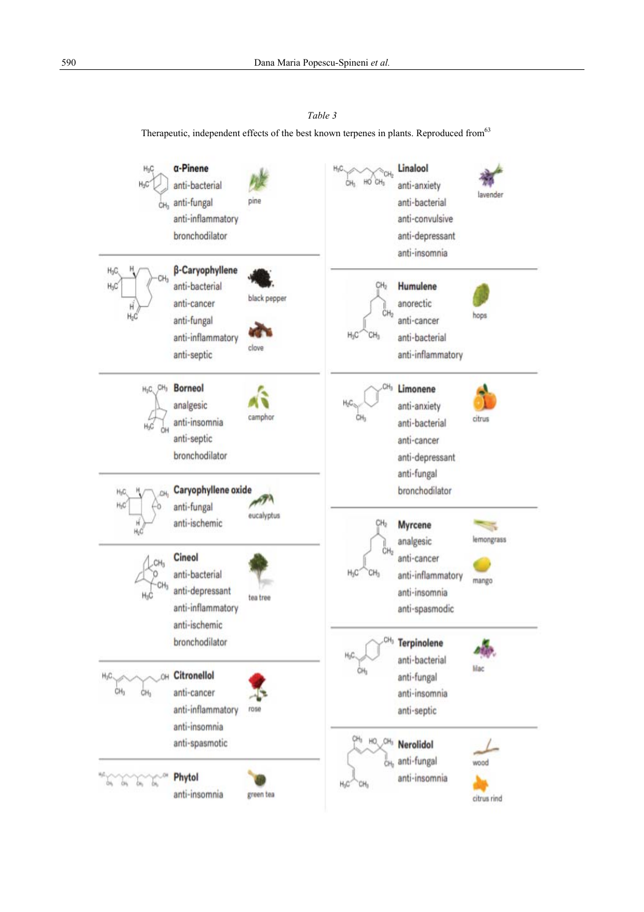a-Pinene Linalool  $H - C$  $H<sub>n</sub>C$  $\varepsilon_{\text{CH}_2}$ HO CH<sub>3</sub> anti-bacterial anti-anxiety  $H_2C$ lavender anti-fungal anti-bacterial pine anti-inflammatory anti-convulsive bronchodilator anti-depressant anti-insomnia **ß-Caryophyllene**  $H_2$ anti-bacterial CH<sub>3</sub> **Humulene** black pepper anti-cancer anorectic hops  $H<sub>2</sub>$ anti-cancer anti-fungal anti-inflammatory  $H_2C$ CH<sub>1</sub> anti-bacterial clove anti-inflammatory anti-septic **Borneol**  $H_3C$ ,  $CH_3$ Limonene analgesic anti-anxiety camphor CH citrus anti-insomnia anti-bacterial HvC anti-septic anti-cancer bronchodilator anti-depressant anti-fungal Caryophyllene oxide bronchodilator CH anti-fungal eucalyptus anti-ischemic CH<sub>3</sub> **Myrcene** 73 analgesic lemongrass CH<sub>2</sub> **Cineol** anti-cancer  $CH<sub>3</sub>$ anti-bacterial H-C anti-inflammatory mango anti-depressant anti-insomnia tea tree anti-inflammatory anti-spasmodic anti-ischemic bronchodilator CH<sub>3</sub> **Terpinolene** anti-bacterial **Citronellol**  $H_2C$ anti-fungal  $CH<sub>3</sub>$ anti-cancer anti-insomnia ĊН anti-inflammatory rose anti-septic anti-insomnia HO CH<sub>3</sub> Nerolidol anti-spasmotic CH<sub>b</sub> anti-fungal Phytol anti-insomnia  $\overline{GH_2}=\overline{GH_2}$ H<sub>2</sub>C **CH<sub>3</sub>** anti-insomnia green tea citrus rind

#### *Table 3*

Therapeutic, independent effects of the best known terpenes in plants. Reproduced from<sup>63</sup>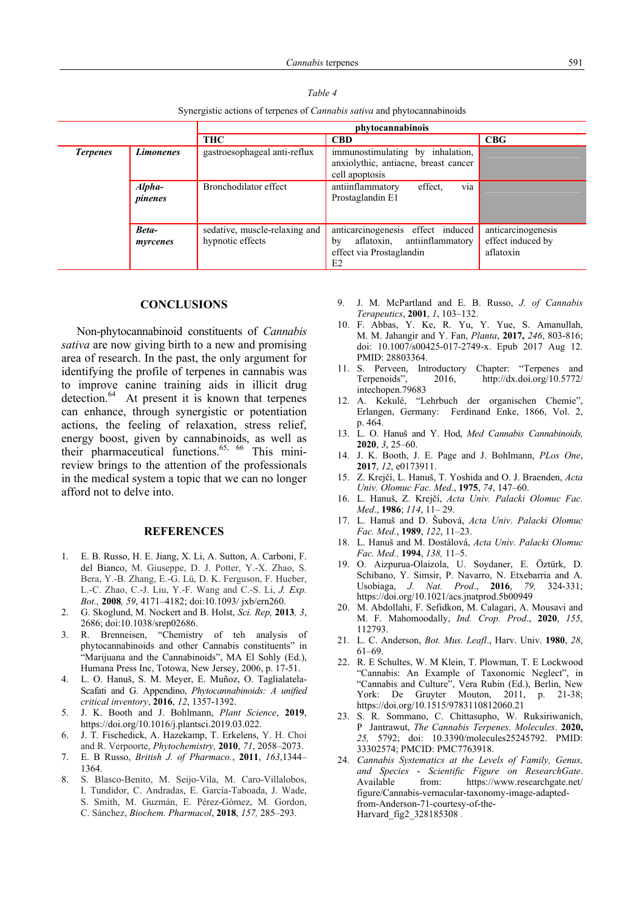|                 |                          | phytocannabinois                                  |                                                                                                                   |                                                      |  |  |
|-----------------|--------------------------|---------------------------------------------------|-------------------------------------------------------------------------------------------------------------------|------------------------------------------------------|--|--|
|                 |                          | <b>THC</b>                                        | <b>CBD</b>                                                                                                        | CBG                                                  |  |  |
| <b>Terpenes</b> | <b>Limonenes</b>         | gastroesophageal anti-reflux                      | immunostimulating by<br>inhalation.<br>anxiolythic, antiacne, breast cancer<br>cell apoptosis                     |                                                      |  |  |
|                 | Alpha-<br>pinenes        | Bronchodilator effect                             | effect.<br>antiinflammatory<br>via<br>Prostaglandin E1                                                            |                                                      |  |  |
|                 | <b>Beta-</b><br>myrcenes | sedative, muscle-relaxing and<br>hypnotic effects | induced<br>effect<br>anticarcinogenesis<br>antiinflammatory<br>aflatoxin,<br>by<br>effect via Prostaglandin<br>E2 | anticarcinogenesis<br>effect induced by<br>aflatoxin |  |  |

#### *Table 4*

Synergistic actions of terpenes of *Cannabis sativa* and phytocannabinoids

#### **CONCLUSIONS**

 Non-phytocannabinoid constituents of *Cannabis sativa* are now giving birth to a new and promising area of research. In the past, the only argument for identifying the profile of terpenes in cannabis was to improve canine training aids in illicit drug detection.<sup>64</sup> At present it is known that terpenes can enhance, through synergistic or potentiation actions, the feeling of relaxation, stress relief, energy boost, given by cannabinoids, as well as their pharmaceutical functions.<sup>65, 66</sup> This minireview brings to the attention of the professionals in the medical system a topic that we can no longer afford not to delve into.

#### **REFERENCES**

- 1. E. B. Russo, H. E. Jiang, X. Li, A. Sutton, A. Carboni, F. del Bianco, M. Giuseppe, D. J. Potter, Y.-X. Zhao, S. Bera, Y.-B. Zhang, E.-G. Lü, D. K. Ferguson, F. Hueber, L.-C. Zhao, C.-J. Liu, Y.-F. Wang and C.-S. Li, *J. Exp. Bot.,* **2008***, 59*, 4171–4182; doi:10.1093/ jxb/ern260.
- 2. G. Skoglund, M. Nockert and B. Holst, *Sci. Rep,* **2013***, 3*, 2686; doi:10.1038/srep02686.
- 3. R. Brenneisen, "Chemistry of teh analysis of phytocannabinoids and other Cannabis constituents" in "Marijuana and the Cannabinoids", MA El Sohly (Ed.), Humana Press Inc, Totowa, New Jersey, 2006, p. 17-51.
- 4. L. O. Hanuš, S. M. Meyer, E. Muñoz, O. Taglialatela-Scafati and G. Appendino, *Phytocannabinoids: A unified critical inventory*, **2016**, *12*, 1357-1392.
- 5. J. K. Booth and J. Bohlmann, *Plant Science*, **2019**, https://doi.org/10.1016/j.plantsci.2019.03.022.
- 6. J. T. Fischedick, A. Hazekamp, T. Erkelens, Y. H. Choi and R. Verpoorte, *Phytochemistry,* **2010**, *71*, 2058–2073.
- 7. E. B Russo, *British J. of Pharmaco.*, **2011**, *163*,1344– 1364.
- 8. S. Blasco-Benito, M. Seijo-Vila, M. Caro-Villalobos, I. Tundidor, C. Andradas, E. García-Taboada, J. Wade, S. Smith, M. Guzmán, E. Pérez-Gómez, M. Gordon, C. Sánchez, *Biochem. Pharmacol*, **2018**, *157,* 285–293.
- 9. J. M. McPartland and E. B. Russo, *J. of Cannabis Terapeutics*, **2001**, *1*, 103–132.
- 10. F. Abbas, Y. Ke, R. Yu, Y. Yue, S. Amanullah, M. M. Jahangir and Y. Fan, *Planta*, **2017,** *246*, 803-816; doi: 10.1007/s00425-017-2749-x. Epub 2017 Aug 12. PMID: 28803364.
- 11. S. Perveen, Introductory Chapter: "Terpenes and Terpenoids", 2016, http://dx.doi.org/10.5772/ intechopen.79683
- 12. A. Kekulé, "Lehrbuch der organischen Chemie", Erlangen, Germany: Ferdinand Enke, 1866, Vol. 2, p. 464.
- 13. L. O. Hanuš and Y. Hod, *Med Cannabis Cannabinoids,* **2020**, *3*, 25–60.
- 14. J. K. Booth, J. E. Page and J. Bohlmann, *PLos One*, **2017**, *12*, e0173911.
- 15. Z. Krejčí, L. Hanuš, T. Yoshida and O. J. Braenden, *Acta Univ. Olomuc Fac. Med*., **1975**, *74*, 147–60.
- 16. L. Hanuš, Z. Krejčí, *Acta Univ. Palacki Olomuc Fac. Med*., **1986**; *114*, 11– 29.
- 17. L. Hanuš and D. Šubová, *Acta Univ. Palacki Olomuc Fac. Med.*, **1989**, *122*, 11–23.
- 18. L. Hanuš and M. Dostálová, *Acta Univ. Palacki Olomuc Fac. Med.,* **1994**, *138,* 11–5.
- 19. O. Aizpurua-Olaizola, U. Soydaner, E. Öztürk, D. Schibano, Y. Simsir, P. Navarro, N. Etxebarria and A. Usobiaga, *J. Nat. Prod*., **2016**, *79,* 324-331; https://doi.org/10.1021/acs.jnatprod.5b00949
- 20. M. Abdollahi, F. Sefidkon, M. Calagari, A. Mousavi and M. F. Mahomoodally, *Ind. Crop. Prod*., **2020**, *155*, 112793.
- 21. L. C. Anderson, *Bot. Mus. Leafl*., Harv. Univ. **1980**, *28*, 61–69.
- 22. R. E Schultes, W. M Klein, T. Plowman, T. E Lockwood "Cannabis: An Example of Taxonomic Neglect", in "Cannabis and Culture", Vera Rubin (Ed.), Berlin, New York: De Gruyter Mouton, 2011, p. 21-38; https://doi.org/10.1515/9783110812060.21
- 23. S. R. Sommano, C. Chittasupho, W. Ruksiriwanich, P Jantrawut, *The Cannabis Terpenes*. *Molecules*. **2020,** *25,* 5792; doi: 10.3390/molecules25245792. PMID: 33302574; PMCID: PMC7763918.
- 24. *Cannabis Systematics at the Levels of Family, Genus, and Species* - *Scientific Figure on ResearchGate*. Available from: https://www.researchgate.net/ figure/Cannabis-vernacular-taxonomy-image-adaptedfrom-Anderson-71-courtesy-of-the-Harvard fig2 328185308 .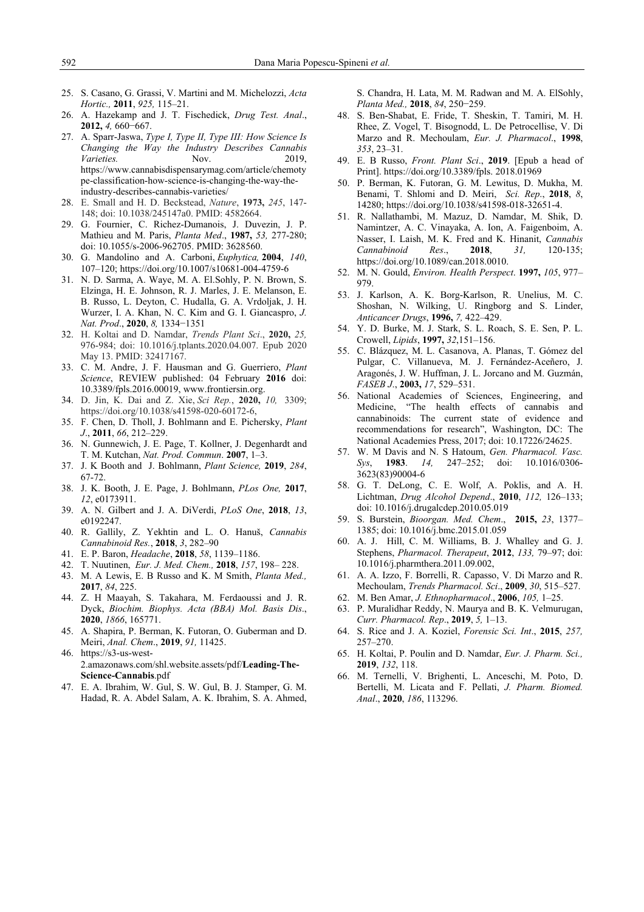- 25. S. Casano, G. Grassi, V. Martini and M. Michelozzi, *Acta Hortic.,* **2011**, *925,* 115–21.
- 26. A. Hazekamp and J. T. Fischedick, *Drug Test. Anal*., **2012,** *4,* 660−667.
- 27. A. Sparr-Jaswa, *Type I, Type II, Type III: How Science Is Changing the Way the Industry Describes Cannabis Varieties.* Nov. 2019. https://www.cannabisdispensarymag.com/article/chemoty pe-classification-how-science-is-changing-the-way-theindustry-describes-cannabis-varieties/
- 28. E. Small and H. D. Beckstead, *Nature*, **1973,** *245*, 147- 148; doi: 10.1038/245147a0. PMID: 4582664.
- 29. G. Fournier, C. Richez-Dumanois, J. Duvezin, J. P. Mathieu and M. Paris, *Planta Med*., **1987,** *53,* 277-280; doi: 10.1055/s-2006-962705. PMID: 3628560.
- 30. G. Mandolino and A. Carboni, *Euphytica,* **2004**, *140*, 107–120; https://doi.org/10.1007/s10681-004-4759-6
- 31. N. D. Sarma, A. Waye, M. A. El.Sohly, P. N. Brown, S. Elzinga, H. E. Johnson, R. J. Marles, J. E. Melanson, E. B. Russo, L. Deyton, C. Hudalla, G. A. Vrdoljak, J. H. Wurzer, I. A. Khan, N. C. Kim and G. I. Giancaspro, *J. Nat. Prod*., **2020**, *8,* 1334−1351
- 32. H. Koltai and D. Namdar, *Trends Plant Sci*., **2020,** *25,*  976-984; doi: 10.1016/j.tplants.2020.04.007. Epub 2020 May 13. PMID: 32417167.
- 33. C. M. Andre, J. F. Hausman and G. Guerriero, *Plant Science*, REVIEW published: 04 February **2016** doi: 10.3389/fpls.2016.00019, www.frontiersin.org.
- 34. D. Jin, K. Dai and Z. Xie, *Sci Rep.*, **2020,** *10,* 3309; https://doi.org/10.1038/s41598-020-60172-6,
- 35. F. Chen, D. Tholl, J. Bohlmann and E. Pichersky, *Plant J*., **2011**, *66*, 212–229.
- 36. N. Gunnewich, J. E. Page, T. Kollner, J. Degenhardt and T. M. Kutchan, *Nat. Prod. Commun*. **2007**, 1–3.
- 37. J. K Booth and J. Bohlmann, *Plant Science,* **2019**, *284*, 67-72.
- 38. J. K. Booth, J. E. Page, J. Bohlmann, *PLos One,* **2017**, *12*, e0173911.
- 39. A. N. Gilbert and J. A. DiVerdi, *PLoS One*, **2018**, *13*,  $e^{0192247}$
- 40. R. Gallily, Z. Yekhtin and L. O. Hanuš, *Cannabis Cannabinoid Res.*, **2018**, *3*, 282–90
- 41. E. P. Baron, *Headache*, **2018**, *58*, 1139–1186.
- 42. T. Nuutinen, *Eur. J. Med. Chem.,* **2018**, *157*, 198– 228.
- 43. M. A Lewis, E. B Russo and K. M Smith, *Planta Med.,*  **2017**, *84*, 225.
- 44. Z. H Maayah, S. Takahara, M. Ferdaoussi and J. R. Dyck, *Biochim. Biophys. Acta (BBA) Mol. Basis Dis*., **2020**, *1866*, 165771.
- 45. A. Shapira, P. Berman, K. Futoran, O. Guberman and D. Meiri, *Anal. Chem*., **2019**, *91,* 11425.
- 46. https://s3-us-west-2.amazonaws.com/shl.website.assets/pdf/**Leading-The-Science-Cannabis**.pdf
- 47. E. A. Ibrahim, W. Gul, S. W. Gul, B. J. Stamper, G. M. Hadad, R. A. Abdel Salam, A. K. Ibrahim, S. A. Ahmed,

S. Chandra, H. Lata, M. M. Radwan and M. A. ElSohly, *Planta Med.,* **2018**, *84*, 250−259.

- 48. S. Ben-Shabat, E. Fride, T. Sheskin, T. Tamiri, M. H. Rhee, Z. Vogel, T. Bisognodd, L. De Petrocellise, V. Di Marzo and R. Mechoulam, *Eur. J. Pharmacol*., **1998**, *353*, 23–31.
- 49. E. B Russo, *Front. Plant Sci*., **2019**. [Epub a head of Print]. https://doi.org/10.3389/fpls. 2018.01969
- 50. P. Berman, K. Futoran, G. M. Lewitus, D. Mukha, M. Benami, T. Shlomi and D. Meiri, *Sci. Rep*., **2018**, *8*, 14280; https://doi.org/10.1038/s41598-018-32651-4.
- 51. R. Nallathambi, M. Mazuz, D. Namdar, M. Shik, D. Namintzer, A. C. Vinayaka, A. Ion, A. Faigenboim, A. Nasser, I. Laish, M. K. Fred and K. Hinanit, *Cannabis Cannabinoid Res*., **2018**, *31,* 120-135; https://doi.org/10.1089/can.2018.0010.
- 52. M. N. Gould, *Environ. Health Perspect*. **1997,** *105*, 977– 979.
- 53. J. Karlson, A. K. Borg-Karlson, R. Unelius, M. C. Shoshan, N. Wilking, U. Ringborg and S. Linder, *Anticancer Drugs*, **1996,** *7,* 422–429.
- 54. Y. D. Burke, M. J. Stark, S. L. Roach, S. E. Sen, P. L. Crowell, *Lipids*, **1997,** *32*,151–156.
- 55. C. Blázquez, M. L. Casanova, A. Planas, T. Gómez del Pulgar, C. Villanueva, M. J. Fernández-Aceñero, J. Aragonés, J. W. Huffman, J. L. Jorcano and M. Guzmán, *FASEB J*., **2003,** *17*, 529–531.
- 56. National Academies of Sciences, Engineering, and Medicine, "The health effects of cannabis and cannabinoids: The current state of evidence and recommendations for research", Washington, DC: The National Academies Press, 2017; doi: 10.17226/24625.
- 57. W. M Davis and N. S Hatoum, *Gen. Pharmacol. Vasc. Sys*, **1983**. *14,* 247–252; doi: 10.1016/0306- 3623(83)90004-6
- 58. G. T. DeLong, C. E. Wolf, A. Poklis, and A. H. Lichtman, *Drug Alcohol Depend*., **2010**, *112,* 126–133; doi: 10.1016/j.drugalcdep.2010.05.019
- 59. S. Burstein, *Bioorgan. Med. Chem*., **2015,** *23*, 1377– 1385; doi: 10.1016/j.bmc.2015.01.059
- 60. A. J. Hill, C. M. Williams, B. J. Whalley and G. J. Stephens, *Pharmacol. Therapeut*, **2012**, *133,* 79–97; doi: 10.1016/j.pharmthera.2011.09.002,
- 61. A. A. Izzo, F. Borrelli, R. Capasso, V. Di Marzo and R. Mechoulam, *Trends Pharmacol. Sci*., **2009**, *30*, 515–527.
- 62. M. Ben Amar, *J. Ethnopharmacol*., **2006**, *105,* 1–25.
- 63. P. Muralidhar Reddy, N. Maurya and B. K. Velmurugan, *Curr. Pharmacol. Rep*., **2019**, *5,* 1–13.
- 64. S. Rice and J. A. Koziel, *Forensic Sci. Int*., **2015**, *257,*  257–270.
- 65. H. Koltai, P. Poulin and D. Namdar, *Eur. J. Pharm. Sci.,* **2019**, *132*, 118.
- 66. M. Ternelli, V. Brighenti, L. Anceschi, M. Poto, D. Bertelli, M. Licata and F. Pellati, *J. Pharm. Biomed. Anal*., **2020**, *186*, 113296.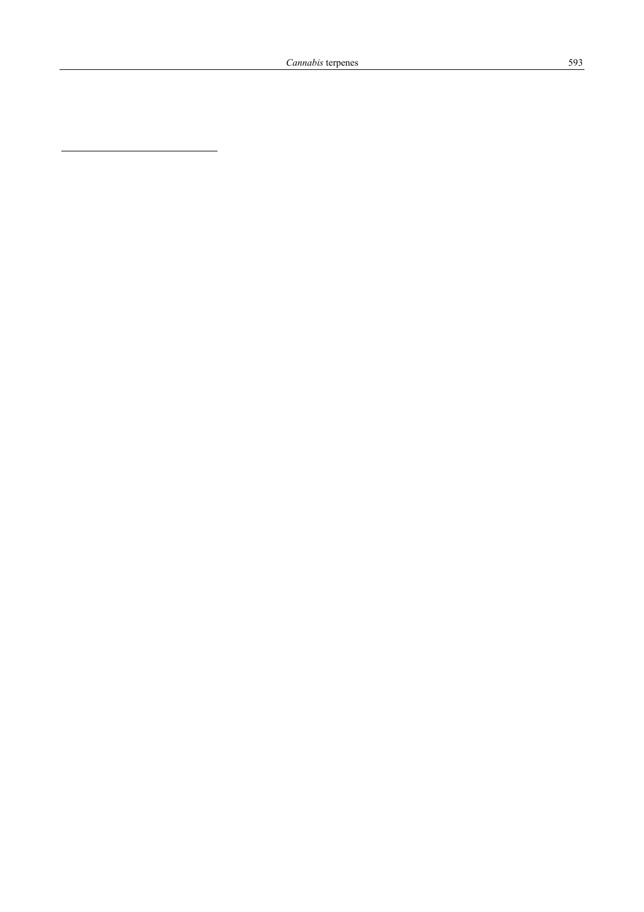$\overline{a}$